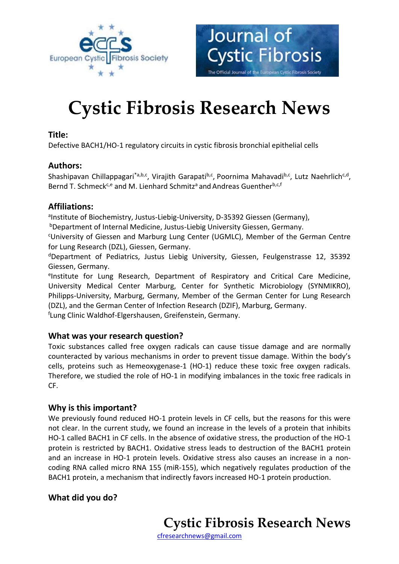

# **Cystic Fibrosis Research News**

Journal of

**Cystic Fibrosis** 

The Official Journal of the European Cystic Fibrosis Society

#### **Title:**

Defective BACH1/HO-1 regulatory circuits in cystic fibrosis bronchial epithelial cells

#### **Authors:**

Shashipavan Chillappagari<sup>\*a,b,c</sup>, Virajith Garapati<sup>b,c</sup>, Poornima Mahavadi<sup>b,c</sup>, Lutz Naehrlich<sup>c,d</sup>, Bernd T. Schmeck<sup>c,e</sup> and M. Lienhard Schmitz<sup>a</sup> and Andreas Guenther<sup>b,c,f</sup>

#### **Affiliations:**

alnstitute of Biochemistry, Justus-Liebig-University, D-35392 Giessen (Germany),

<sup>b</sup>Department of Internal Medicine, Justus-Liebig University Giessen, Germany.

<sup>c</sup>University of Giessen and Marburg Lung Center (UGMLC), Member of the German Centre for Lung Research (DZL), Giessen, Germany.

<sup>d</sup>Department of Pediatrics, Justus Liebig University, Giessen, Feulgenstrasse 12, 35392 Giessen, Germany.

elnstitute for Lung Research, Department of Respiratory and Critical Care Medicine, University Medical Center Marburg, Center for Synthetic Microbiology (SYNMIKRO), Philipps-University, Marburg, Germany, Member of the German Center for Lung Research (DZL), and the German Center of Infection Research (DZIF), Marburg, Germany.

f Lung Clinic Waldhof-Elgershausen, Greifenstein, Germany.

## **What was your research question?**

Toxic substances called free oxygen radicals can cause tissue damage and are normally counteracted by various mechanisms in order to prevent tissue damage. Within the body's cells, proteins such as Hemeoxygenase-1 (HO-1) reduce these toxic free oxygen radicals. Therefore, we studied the role of HO-1 in modifying imbalances in the toxic free radicals in CF.

## **Why is this important?**

We previously found reduced HO-1 protein levels in CF cells, but the reasons for this were not clear. In the current study, we found an increase in the levels of a protein that inhibits HO-1 called BACH1 in CF cells. In the absence of oxidative stress, the production of the HO-1 protein is restricted by BACH1. Oxidative stress leads to destruction of the BACH1 protein and an increase in HO-1 protein levels. Oxidative stress also causes an increase in a noncoding RNA called micro RNA 155 (miR-155), which negatively regulates production of the BACH1 protein, a mechanism that indirectly favors increased HO-1 protein production.

# **What did you do?**

**Cystic Fibrosis Research News**

[cfresearchnews@gmail.com](mailto:cfresearchnews@gmail.com)